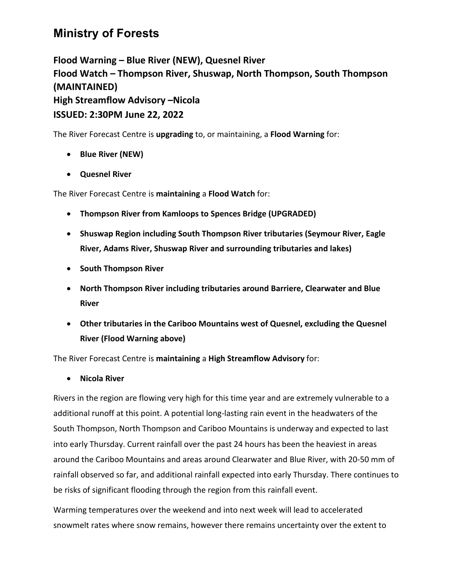## **Ministry of Forests**

**Flood Warning – Blue River (NEW), Quesnel River Flood Watch – Thompson River, Shuswap, North Thompson, South Thompson (MAINTAINED) High Streamflow Advisory –Nicola ISSUED: 2:30PM June 22, 2022**

The River Forecast Centre is **upgrading** to, or maintaining, a **Flood Warning** for:

- **Blue River (NEW)**
- **Quesnel River**

The River Forecast Centre is **maintaining** a **Flood Watch** for:

- **Thompson River from Kamloops to Spences Bridge (UPGRADED)**
- **Shuswap Region including South Thompson River tributaries (Seymour River, Eagle River, Adams River, Shuswap River and surrounding tributaries and lakes)**
- **South Thompson River**
- **North Thompson River including tributaries around Barriere, Clearwater and Blue River**
- **Other tributaries in the Cariboo Mountains west of Quesnel, excluding the Quesnel River (Flood Warning above)**

The River Forecast Centre is **maintaining** a **High Streamflow Advisory** for:

• **Nicola River**

Rivers in the region are flowing very high for this time year and are extremely vulnerable to a additional runoff at this point. A potential long-lasting rain event in the headwaters of the South Thompson, North Thompson and Cariboo Mountains is underway and expected to last into early Thursday. Current rainfall over the past 24 hours has been the heaviest in areas around the Cariboo Mountains and areas around Clearwater and Blue River, with 20-50 mm of rainfall observed so far, and additional rainfall expected into early Thursday. There continues to be risks of significant flooding through the region from this rainfall event.

Warming temperatures over the weekend and into next week will lead to accelerated snowmelt rates where snow remains, however there remains uncertainty over the extent to